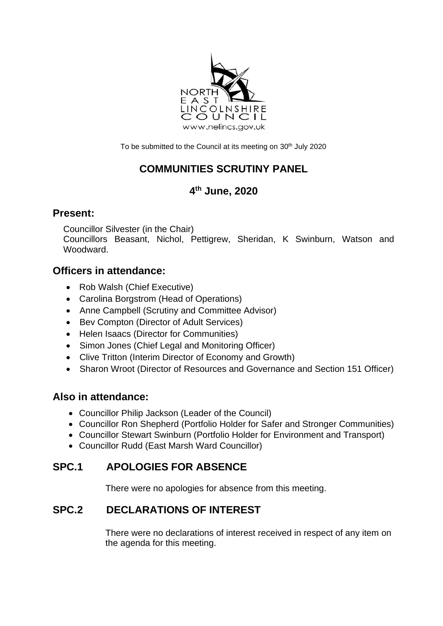

To be submitted to the Council at its meeting on 30<sup>th</sup> July 2020

# **COMMUNITIES SCRUTINY PANEL**

## **4 th June, 2020**

#### **Present:**

Councillor Silvester (in the Chair)

Councillors Beasant, Nichol, Pettigrew, Sheridan, K Swinburn, Watson and Woodward.

## **Officers in attendance:**

- Rob Walsh (Chief Executive)
- Carolina Borgstrom (Head of Operations)
- Anne Campbell (Scrutiny and Committee Advisor)
- Bev Compton (Director of Adult Services)
- Helen Isaacs (Director for Communities)
- Simon Jones (Chief Legal and Monitoring Officer)
- Clive Tritton (Interim Director of Economy and Growth)
- Sharon Wroot (Director of Resources and Governance and Section 151 Officer)

#### **Also in attendance:**

- Councillor Philip Jackson (Leader of the Council)
- Councillor Ron Shepherd (Portfolio Holder for Safer and Stronger Communities)
- Councillor Stewart Swinburn (Portfolio Holder for Environment and Transport)
- Councillor Rudd (East Marsh Ward Councillor)

## **SPC.1 APOLOGIES FOR ABSENCE**

There were no apologies for absence from this meeting.

## **SPC.2 DECLARATIONS OF INTEREST**

There were no declarations of interest received in respect of any item on the agenda for this meeting.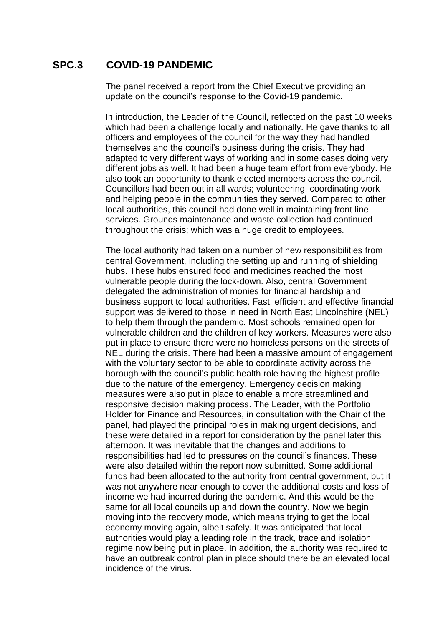### **SPC.3 COVID-19 PANDEMIC**

The panel received a report from the Chief Executive providing an update on the council's response to the Covid-19 pandemic.

In introduction, the Leader of the Council, reflected on the past 10 weeks which had been a challenge locally and nationally. He gave thanks to all officers and employees of the council for the way they had handled themselves and the council's business during the crisis. They had adapted to very different ways of working and in some cases doing very different jobs as well. It had been a huge team effort from everybody. He also took an opportunity to thank elected members across the council. Councillors had been out in all wards; volunteering, coordinating work and helping people in the communities they served. Compared to other local authorities, this council had done well in maintaining front line services. Grounds maintenance and waste collection had continued throughout the crisis; which was a huge credit to employees.

The local authority had taken on a number of new responsibilities from central Government, including the setting up and running of shielding hubs. These hubs ensured food and medicines reached the most vulnerable people during the lock-down. Also, central Government delegated the administration of monies for financial hardship and business support to local authorities. Fast, efficient and effective financial support was delivered to those in need in North East Lincolnshire (NEL) to help them through the pandemic. Most schools remained open for vulnerable children and the children of key workers. Measures were also put in place to ensure there were no homeless persons on the streets of NEL during the crisis. There had been a massive amount of engagement with the voluntary sector to be able to coordinate activity across the borough with the council's public health role having the highest profile due to the nature of the emergency. Emergency decision making measures were also put in place to enable a more streamlined and responsive decision making process. The Leader, with the Portfolio Holder for Finance and Resources, in consultation with the Chair of the panel, had played the principal roles in making urgent decisions, and these were detailed in a report for consideration by the panel later this afternoon. It was inevitable that the changes and additions to responsibilities had led to pressures on the council's finances. These were also detailed within the report now submitted. Some additional funds had been allocated to the authority from central government, but it was not anywhere near enough to cover the additional costs and loss of income we had incurred during the pandemic. And this would be the same for all local councils up and down the country. Now we begin moving into the recovery mode, which means trying to get the local economy moving again, albeit safely. It was anticipated that local authorities would play a leading role in the track, trace and isolation regime now being put in place. In addition, the authority was required to have an outbreak control plan in place should there be an elevated local incidence of the virus.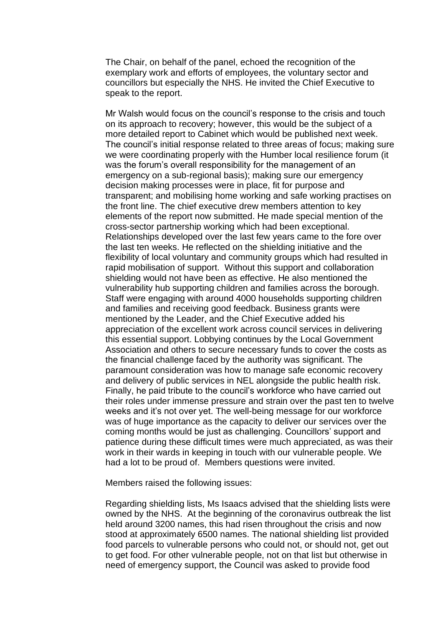The Chair, on behalf of the panel, echoed the recognition of the exemplary work and efforts of employees, the voluntary sector and councillors but especially the NHS. He invited the Chief Executive to speak to the report.

Mr Walsh would focus on the council's response to the crisis and touch on its approach to recovery; however, this would be the subject of a more detailed report to Cabinet which would be published next week. The council's initial response related to three areas of focus; making sure we were coordinating properly with the Humber local resilience forum (it was the forum's overall responsibility for the management of an emergency on a sub-regional basis); making sure our emergency decision making processes were in place, fit for purpose and transparent; and mobilising home working and safe working practises on the front line. The chief executive drew members attention to key elements of the report now submitted. He made special mention of the cross-sector partnership working which had been exceptional. Relationships developed over the last few years came to the fore over the last ten weeks. He reflected on the shielding initiative and the flexibility of local voluntary and community groups which had resulted in rapid mobilisation of support. Without this support and collaboration shielding would not have been as effective. He also mentioned the vulnerability hub supporting children and families across the borough. Staff were engaging with around 4000 households supporting children and families and receiving good feedback. Business grants were mentioned by the Leader, and the Chief Executive added his appreciation of the excellent work across council services in delivering this essential support. Lobbying continues by the Local Government Association and others to secure necessary funds to cover the costs as the financial challenge faced by the authority was significant. The paramount consideration was how to manage safe economic recovery and delivery of public services in NEL alongside the public health risk. Finally, he paid tribute to the council's workforce who have carried out their roles under immense pressure and strain over the past ten to twelve weeks and it's not over yet. The well-being message for our workforce was of huge importance as the capacity to deliver our services over the coming months would be just as challenging. Councillors' support and patience during these difficult times were much appreciated, as was their work in their wards in keeping in touch with our vulnerable people. We had a lot to be proud of. Members questions were invited.

Members raised the following issues:

Regarding shielding lists, Ms Isaacs advised that the shielding lists were owned by the NHS. At the beginning of the coronavirus outbreak the list held around 3200 names, this had risen throughout the crisis and now stood at approximately 6500 names. The national shielding list provided food parcels to vulnerable persons who could not, or should not, get out to get food. For other vulnerable people, not on that list but otherwise in need of emergency support, the Council was asked to provide food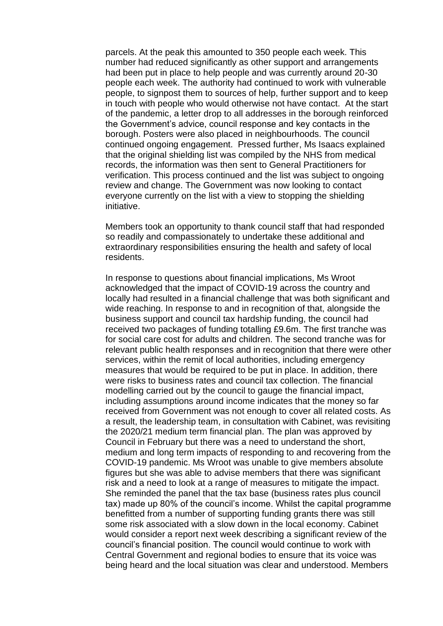parcels. At the peak this amounted to 350 people each week. This number had reduced significantly as other support and arrangements had been put in place to help people and was currently around 20-30 people each week. The authority had continued to work with vulnerable people, to signpost them to sources of help, further support and to keep in touch with people who would otherwise not have contact. At the start of the pandemic, a letter drop to all addresses in the borough reinforced the Government's advice, council response and key contacts in the borough. Posters were also placed in neighbourhoods. The council continued ongoing engagement. Pressed further, Ms Isaacs explained that the original shielding list was compiled by the NHS from medical records, the information was then sent to General Practitioners for verification. This process continued and the list was subject to ongoing review and change. The Government was now looking to contact everyone currently on the list with a view to stopping the shielding initiative.

Members took an opportunity to thank council staff that had responded so readily and compassionately to undertake these additional and extraordinary responsibilities ensuring the health and safety of local residents.

In response to questions about financial implications, Ms Wroot acknowledged that the impact of COVID-19 across the country and locally had resulted in a financial challenge that was both significant and wide reaching. In response to and in recognition of that, alongside the business support and council tax hardship funding, the council had received two packages of funding totalling £9.6m. The first tranche was for social care cost for adults and children. The second tranche was for relevant public health responses and in recognition that there were other services, within the remit of local authorities, including emergency measures that would be required to be put in place. In addition, there were risks to business rates and council tax collection. The financial modelling carried out by the council to gauge the financial impact, including assumptions around income indicates that the money so far received from Government was not enough to cover all related costs. As a result, the leadership team, in consultation with Cabinet, was revisiting the 2020/21 medium term financial plan. The plan was approved by Council in February but there was a need to understand the short, medium and long term impacts of responding to and recovering from the COVID-19 pandemic. Ms Wroot was unable to give members absolute figures but she was able to advise members that there was significant risk and a need to look at a range of measures to mitigate the impact. She reminded the panel that the tax base (business rates plus council tax) made up 80% of the council's income. Whilst the capital programme benefitted from a number of supporting funding grants there was still some risk associated with a slow down in the local economy. Cabinet would consider a report next week describing a significant review of the council's financial position. The council would continue to work with Central Government and regional bodies to ensure that its voice was being heard and the local situation was clear and understood. Members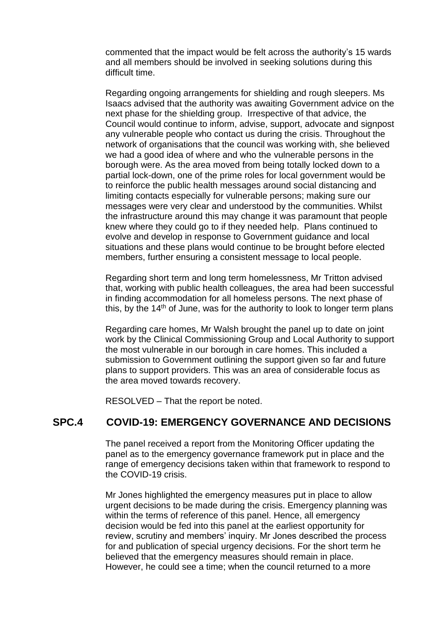commented that the impact would be felt across the authority's 15 wards and all members should be involved in seeking solutions during this difficult time.

Regarding ongoing arrangements for shielding and rough sleepers. Ms Isaacs advised that the authority was awaiting Government advice on the next phase for the shielding group. Irrespective of that advice, the Council would continue to inform, advise, support, advocate and signpost any vulnerable people who contact us during the crisis. Throughout the network of organisations that the council was working with, she believed we had a good idea of where and who the vulnerable persons in the borough were. As the area moved from being totally locked down to a partial lock-down, one of the prime roles for local government would be to reinforce the public health messages around social distancing and limiting contacts especially for vulnerable persons; making sure our messages were very clear and understood by the communities. Whilst the infrastructure around this may change it was paramount that people knew where they could go to if they needed help. Plans continued to evolve and develop in response to Government guidance and local situations and these plans would continue to be brought before elected members, further ensuring a consistent message to local people.

Regarding short term and long term homelessness, Mr Tritton advised that, working with public health colleagues, the area had been successful in finding accommodation for all homeless persons. The next phase of this, by the 14<sup>th</sup> of June, was for the authority to look to longer term plans

Regarding care homes, Mr Walsh brought the panel up to date on joint work by the Clinical Commissioning Group and Local Authority to support the most vulnerable in our borough in care homes. This included a submission to Government outlining the support given so far and future plans to support providers. This was an area of considerable focus as the area moved towards recovery.

RESOLVED – That the report be noted.

#### **SPC.4 COVID-19: EMERGENCY GOVERNANCE AND DECISIONS**

The panel received a report from the Monitoring Officer updating the panel as to the emergency governance framework put in place and the range of emergency decisions taken within that framework to respond to the COVID-19 crisis.

Mr Jones highlighted the emergency measures put in place to allow urgent decisions to be made during the crisis. Emergency planning was within the terms of reference of this panel. Hence, all emergency decision would be fed into this panel at the earliest opportunity for review, scrutiny and members' inquiry. Mr Jones described the process for and publication of special urgency decisions. For the short term he believed that the emergency measures should remain in place. However, he could see a time; when the council returned to a more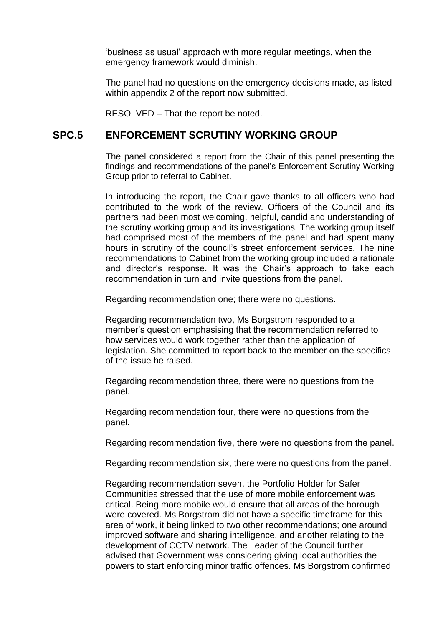'business as usual' approach with more regular meetings, when the emergency framework would diminish.

The panel had no questions on the emergency decisions made, as listed within appendix 2 of the report now submitted.

RESOLVED – That the report be noted.

#### **SPC.5 ENFORCEMENT SCRUTINY WORKING GROUP**

The panel considered a report from the Chair of this panel presenting the findings and recommendations of the panel's Enforcement Scrutiny Working Group prior to referral to Cabinet.

In introducing the report, the Chair gave thanks to all officers who had contributed to the work of the review. Officers of the Council and its partners had been most welcoming, helpful, candid and understanding of the scrutiny working group and its investigations. The working group itself had comprised most of the members of the panel and had spent many hours in scrutiny of the council's street enforcement services. The nine recommendations to Cabinet from the working group included a rationale and director's response. It was the Chair's approach to take each recommendation in turn and invite questions from the panel.

Regarding recommendation one; there were no questions.

Regarding recommendation two, Ms Borgstrom responded to a member's question emphasising that the recommendation referred to how services would work together rather than the application of legislation. She committed to report back to the member on the specifics of the issue he raised.

Regarding recommendation three, there were no questions from the panel.

Regarding recommendation four, there were no questions from the panel.

Regarding recommendation five, there were no questions from the panel.

Regarding recommendation six, there were no questions from the panel.

Regarding recommendation seven, the Portfolio Holder for Safer Communities stressed that the use of more mobile enforcement was critical. Being more mobile would ensure that all areas of the borough were covered. Ms Borgstrom did not have a specific timeframe for this area of work, it being linked to two other recommendations; one around improved software and sharing intelligence, and another relating to the development of CCTV network. The Leader of the Council further advised that Government was considering giving local authorities the powers to start enforcing minor traffic offences. Ms Borgstrom confirmed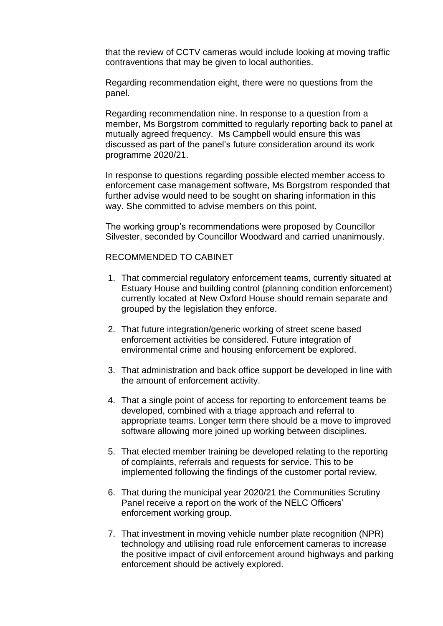that the review of CCTV cameras would include looking at moving traffic contraventions that may be given to local authorities.

Regarding recommendation eight, there were no questions from the panel.

Regarding recommendation nine. In response to a question from a member, Ms Borgstrom committed to regularly reporting back to panel at mutually agreed frequency. Ms Campbell would ensure this was discussed as part of the panel's future consideration around its work programme 2020/21.

In response to questions regarding possible elected member access to enforcement case management software, Ms Borgstrom responded that further advise would need to be sought on sharing information in this way. She committed to advise members on this point.

The working group's recommendations were proposed by Councillor Silvester, seconded by Councillor Woodward and carried unanimously.

#### RECOMMENDED TO CABINET

- 1. That commercial regulatory enforcement teams, currently situated at Estuary House and building control (planning condition enforcement) currently located at New Oxford House should remain separate and grouped by the legislation they enforce.
- 2. That future integration/generic working of street scene based enforcement activities be considered. Future integration of environmental crime and housing enforcement be explored.
- 3. That administration and back office support be developed in line with the amount of enforcement activity.
- 4. That a single point of access for reporting to enforcement teams be developed, combined with a triage approach and referral to appropriate teams. Longer term there should be a move to improved software allowing more joined up working between disciplines.
- 5. That elected member training be developed relating to the reporting of complaints, referrals and requests for service. This to be implemented following the findings of the customer portal review,
- 6. That during the municipal year 2020/21 the Communities Scrutiny Panel receive a report on the work of the NELC Officers' enforcement working group.
- 7. That investment in moving vehicle number plate recognition (NPR) technology and utilising road rule enforcement cameras to increase the positive impact of civil enforcement around highways and parking enforcement should be actively explored.